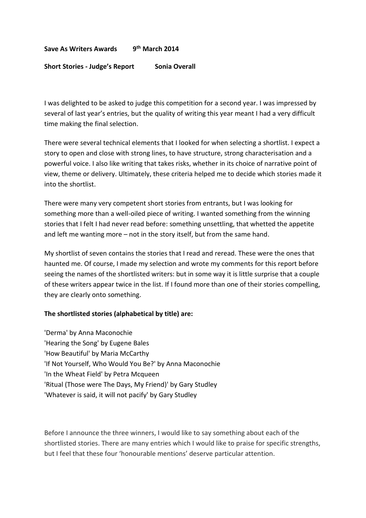#### **Save As Writers Awards 9 th March 2014**

#### **Short Stories - Judge's Report Sonia Overall**

I was delighted to be asked to judge this competition for a second year. I was impressed by several of last year's entries, but the quality of writing this year meant I had a very difficult time making the final selection.

There were several technical elements that I looked for when selecting a shortlist. I expect a story to open and close with strong lines, to have structure, strong characterisation and a powerful voice. I also like writing that takes risks, whether in its choice of narrative point of view, theme or delivery. Ultimately, these criteria helped me to decide which stories made it into the shortlist.

There were many very competent short stories from entrants, but I was looking for something more than a well-oiled piece of writing. I wanted something from the winning stories that I felt I had never read before: something unsettling, that whetted the appetite and left me wanting more – not in the story itself, but from the same hand.

My shortlist of seven contains the stories that I read and reread. These were the ones that haunted me. Of course, I made my selection and wrote my comments for this report before seeing the names of the shortlisted writers: but in some way it is little surprise that a couple of these writers appear twice in the list. If I found more than one of their stories compelling, they are clearly onto something.

#### **The shortlisted stories (alphabetical by title) are:**

'Derma' by Anna Maconochie 'Hearing the Song' by Eugene Bales 'How Beautiful' by Maria McCarthy 'If Not Yourself, Who Would You Be?' by Anna Maconochie 'In the Wheat Field' by Petra Mcqueen 'Ritual (Those were The Days, My Friend)' by Gary Studley 'Whatever is said, it will not pacify' by Gary Studley

Before I announce the three winners, I would like to say something about each of the shortlisted stories. There are many entries which I would like to praise for specific strengths, but I feel that these four 'honourable mentions' deserve particular attention.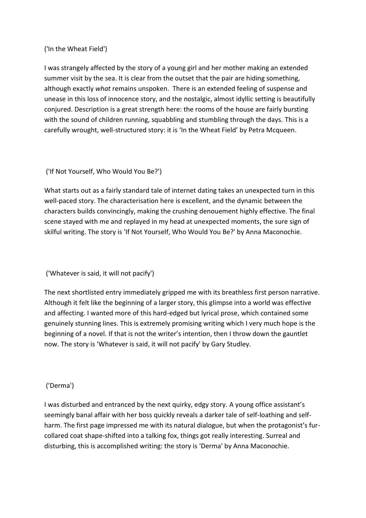## ('In the Wheat Field')

I was strangely affected by the story of a young girl and her mother making an extended summer visit by the sea. It is clear from the outset that the pair are hiding something, although exactly *what* remains unspoken. There is an extended feeling of suspense and unease in this loss of innocence story, and the nostalgic, almost idyllic setting is beautifully conjured. Description is a great strength here: the rooms of the house are fairly bursting with the sound of children running, squabbling and stumbling through the days. This is a carefully wrought, well-structured story: it is 'In the Wheat Field' by Petra Mcqueen.

## ('If Not Yourself, Who Would You Be?')

What starts out as a fairly standard tale of internet dating takes an unexpected turn in this well-paced story. The characterisation here is excellent, and the dynamic between the characters builds convincingly, making the crushing denouement highly effective. The final scene stayed with me and replayed in my head at unexpected moments, the sure sign of skilful writing. The story is 'If Not Yourself, Who Would You Be?' by Anna Maconochie.

# ('Whatever is said, it will not pacify')

The next shortlisted entry immediately gripped me with its breathless first person narrative. Although it felt like the beginning of a larger story, this glimpse into a world was effective and affecting. I wanted more of this hard-edged but lyrical prose, which contained some genuinely stunning lines. This is extremely promising writing which I very much hope is the beginning of a novel. If that is not the writer's intention, then I throw down the gauntlet now. The story is 'Whatever is said, it will not pacify' by Gary Studley.

### ('Derma')

I was disturbed and entranced by the next quirky, edgy story. A young office assistant's seemingly banal affair with her boss quickly reveals a darker tale of self-loathing and selfharm. The first page impressed me with its natural dialogue, but when the protagonist's furcollared coat shape-shifted into a talking fox, things got really interesting. Surreal and disturbing, this is accomplished writing: the story is 'Derma' by Anna Maconochie.